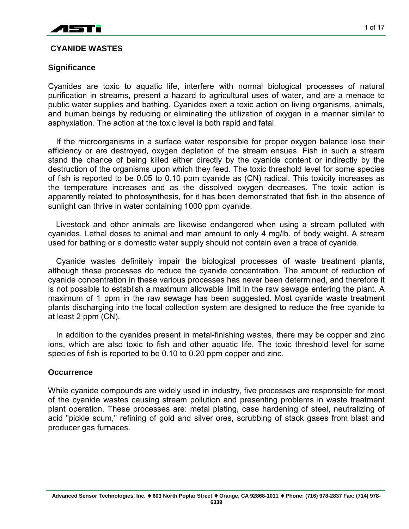

# **CYANIDE WASTES**

## **Significance**

Cyanides are toxic to aquatic life, interfere with normal biological processes of natural purification in streams, present a hazard to agricultural uses of water, and are a menace to public water supplies and bathing. Cyanides exert a toxic action on living organisms, animals, and human beings by reducing or eliminating the utilization of oxygen in a manner similar to asphyxiation. The action at the toxic level is both rapid and fatal.

If the microorganisms in a surface water responsible for proper oxygen balance lose their efficiency or are destroyed, oxygen depletion of the stream ensues. Fish in such a stream stand the chance of being killed either directly by the cyanide content or indirectly by the destruction of the organisms upon which they feed. The toxic threshold level for some species of fish is reported to be 0.05 to 0.10 ppm cyanide as (CN) radical. This toxicity increases as the temperature increases and as the dissolved oxygen decreases. The toxic action is apparently related to photosynthesis, for it has been demonstrated that fish in the absence of sunlight can thrive in water containing 1000 ppm cyanide.

Livestock and other animals are likewise endangered when using a stream polluted with cyanides. Lethal doses to animal and man amount to only 4 mg/lb. of body weight. A stream used for bathing or a domestic water supply should not contain even a trace of cyanide.

Cyanide wastes definitely impair the biological processes of waste treatment plants, although these processes do reduce the cyanide concentration. The amount of reduction of cyanide concentration in these various processes has never been determined, and therefore it is not possible to establish a maximum allowable limit in the raw sewage entering the plant. A maximum of 1 ppm in the raw sewage has been suggested. Most cyanide waste treatment plants discharging into the local collection system are designed to reduce the free cyanide to at least 2 ppm (CN).

In addition to the cyanides present in metal-finishing wastes, there may be copper and zinc ions, which are also toxic to fish and other aquatic life. The toxic threshold level for some species of fish is reported to be 0.10 to 0.20 ppm copper and zinc.

### **Occurrence**

While cyanide compounds are widely used in industry, five processes are responsible for most of the cyanide wastes causing stream pollution and presenting problems in waste treatment plant operation. These processes are: metal plating, case hardening of steel, neutralizing of acid "pickle scum," refining of gold and silver ores, scrubbing of stack gases from blast and producer gas furnaces.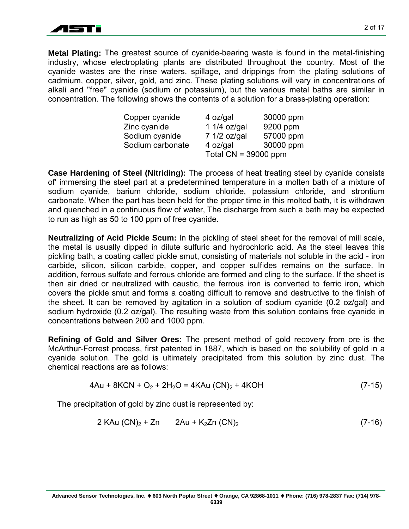

**Metal Plating:** The greatest source of cyanide-bearing waste is found in the metal-finishing industry, whose electroplating plants are distributed throughout the country. Most of the cyanide wastes are the rinse waters, spillage, and drippings from the plating solutions of cadmium, copper, silver, gold, and zinc. These plating solutions will vary in concentrations of alkali and "free" cyanide (sodium or potassium), but the various metal baths are similar in concentration. The following shows the contents of a solution for a brass-plating operation:

| Copper cyanide   | 4 oz/gal               | 30000 ppm |
|------------------|------------------------|-----------|
| Zinc cyanide     | 1 1/4 oz/gal           | 9200 ppm  |
| Sodium cyanide   | 7 1/2 oz/gal           | 57000 ppm |
| Sodium carbonate | 4 oz/gal               | 30000 ppm |
|                  | Total $CN = 39000$ ppm |           |

**Case Hardening of Steel (Nitriding):** The process of heat treating steel by cyanide consists of' immersing the steel part at a predetermined temperature in a molten bath of a mixture of sodium cyanide, barium chloride, sodium chloride, potassium chloride, and strontium carbonate. When the part has been held for the proper time in this molted bath, it is withdrawn and quenched in a continuous flow of water, The discharge from such a bath may be expected to run as high as 50 to 100 ppm of free cyanide.

**Neutralizing of Acid Pickle Scum:** In the pickling of steel sheet for the removal of mill scale, the metal is usually dipped in dilute sulfuric and hydrochloric acid. As the steel leaves this pickling bath, a coating called pickle smut, consisting of materials not soluble in the acid - iron carbide, silicon, silicon carbide, copper, and copper sulfides remains on the surface. In addition, ferrous sulfate and ferrous chloride are formed and cling to the surface. If the sheet is then air dried or neutralized with caustic, the ferrous iron is converted to ferric iron, which covers the pickle smut and forms a coating difficult to remove and destructive to the finish of the sheet. It can be removed by agitation in a solution of sodium cyanide (0.2 oz/gal) and sodium hydroxide (0.2 oz/gal). The resulting waste from this solution contains free cyanide in concentrations between 200 and 1000 ppm.

**Refining of Gold and Silver Ores:** The present method of gold recovery from ore is the McArthur-Forrest process, first patented in 1887, which is based on the solubility of gold in a cyanide solution. The gold is ultimately precipitated from this solution by zinc dust. The chemical reactions are as follows:

$$
4Au + 8KCN + O_2 + 2H_2O = 4KAu (CN)_2 + 4KOH
$$
 (7-15)

The precipitation of gold by zinc dust is represented by:

$$
2 KAu (CN)2 + Zn 2Au + K2Zn (CN)2 (7-16)
$$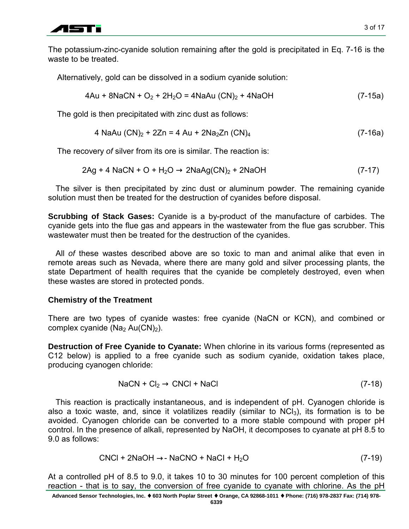

The potassium-zinc-cyanide solution remaining after the gold is precipitated in Eq. 7-16 is the waste to be treated.

Alternatively, gold can be dissolved in a sodium cyanide solution:

$$
4Au + 8NaCN + O_2 + 2H_2O = 4NaAu (CN)_2 + 4NaOH
$$
 (7-15a)

The gold is then precipitated with zinc dust as follows:

4 NaAu (CN)2 + 2Zn = 4 Au + 2Na2Zn (CN)4 (7-16a)

The recovery *of* silver from its ore is similar. The reaction is:

$$
2Ag + 4 \text{ NaCN} + O + H_2O \rightarrow 2\text{NaAg(CN)}_2 + 2\text{NaOH}
$$
 (7-17)

The silver is then precipitated by zinc dust or aluminum powder. The remaining cyanide solution must then be treated for the destruction of cyanides before disposal.

**Scrubbing of Stack Gases:** Cyanide is a by-product of the manufacture of carbides. The cyanide gets into the flue gas and appears in the wastewater from the flue gas scrubber. This wastewater must then be treated for the destruction of the cyanides.

All *of* these wastes described above are so toxic to man and animal alike that even in remote areas such as Nevada, where there are many gold and silver processing plants, the state Department of health requires that the cyanide be completely destroyed, even when these wastes are stored in protected ponds.

# **Chemistry of the Treatment**

There are two types of cyanide wastes: free cyanide (NaCN or KCN), and combined or complex cyanide ( $Na<sub>2</sub> Au(CN)<sub>2</sub>$ ).

**Destruction of Free Cyanide to Cyanate:** When chlorine in its various forms (represented as C12 below) is applied to a free cyanide such as sodium cyanide, oxidation takes place, producing cyanogen chloride:

$$
NaCN + Cl_2 \rightarrow CNCl + NaCl
$$
 (7-18)

This reaction is practically instantaneous, and is independent of pH. Cyanogen chloride is also a toxic waste, and, since it volatilizes readily (similar to  $NCI_3$ ), its formation is to be avoided. Cyanogen chloride can be converted to a more stable compound with proper pH control. In the presence of alkali, represented by NaOH, it decomposes to cyanate at pH 8.5 to 9.0 as follows:

$$
CNCI + 2NaOH \rightarrow NaCNO + NaCl + H2O \qquad (7-19)
$$

At a controlled pH of 8.5 to 9.0, it takes 10 to 30 minutes for 100 percent completion of this reaction - that is to say, the conversion of free cyanide to cyanate with chlorine. As the pH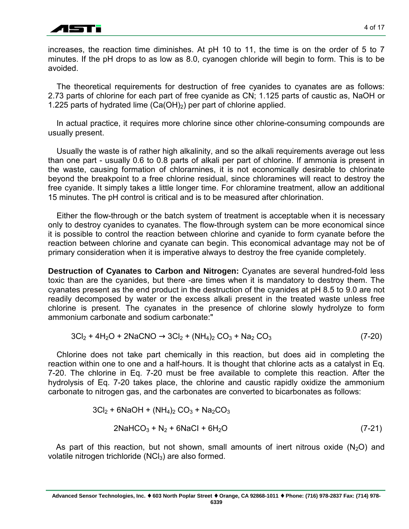

increases, the reaction time diminishes. At pH 10 to 11, the time is on the order of 5 to 7 minutes. If the pH drops to as low as 8.0, cyanogen chloride will begin to form. This is to be avoided.

The theoretical requirements for destruction of free cyanides to cyanates are as follows: 2.73 parts of chlorine for each part of free cyanide as CN; 1.125 parts of caustic as, NaOH or 1.225 parts of hydrated lime  $(Ca(OH<sub>2</sub>))$  per part of chlorine applied.

In actual practice, it requires more chlorine since other chlorine-consuming compounds are usually present.

Usually the waste is of rather high alkalinity, and so the alkali requirements average out less than one part - usually 0.6 to 0.8 parts of alkali per part of chlorine. If ammonia is present in the waste, causing formation of chlorarnines, it is not economically desirable to chlorinate beyond the breakpoint to a free chlorine residual, since chloramines will react to destroy the free cyanide. It simply takes a little longer time. For chloramine treatment, allow an additional 15 minutes. The pH control is critical and is to be measured after chlorination.

Either the flow-through or the batch system of treatment is acceptable when it is necessary only to destroy cyanides to cyanates. The flow-through system can be more economical since it is possible to control the reaction between chlorine and cyanide to form cyanate before the reaction between chlorine and cyanate can begin. This economical advantage may not be of primary consideration when it is imperative always to destroy the free cyanide completely.

**Destruction of Cyanates to Carbon and Nitrogen:** Cyanates are several hundred-fold less toxic than are the cyanides, but there -are times when it is mandatory to destroy them. The cyanates present as the end product in the destruction of the cyanides at pH 8.5 to 9.0 are not readily decomposed by water or the excess alkali present in the treated waste unless free chlorine is present. The cyanates in the presence of chlorine slowly hydrolyze to form ammonium carbonate and sodium carbonate:"

$$
3Cl_2 + 4H_2O + 2NaCNO \rightarrow 3Cl_2 + (NH_4)_2 CO_3 + Na_2 CO_3
$$
 (7-20)

Chlorine does not take part chemically in this reaction, but does aid in completing the reaction within one to one and a half-hours. It is thought that chlorine acts as a catalyst in Eq. 7-20. The chlorine in Eq. 7-20 must be free available to complete this reaction. After the hydrolysis of Eq. 7-20 takes place, the chlorine and caustic rapidly oxidize the ammonium carbonate to nitrogen gas, and the carbonates are converted to bicarbonates as follows:

$$
3Cl2 + 6NaOH + (NH4)2 CO3 + Na2CO3
$$
  
2NaHCO<sub>3</sub> + N<sub>2</sub> + 6NaCl + 6H<sub>2</sub>O (7-21)

As part of this reaction, but not shown, small amounts of inert nitrous oxide ( $N_2$ O) and volatile nitrogen trichloride  $(NCl<sub>3</sub>)$  are also formed.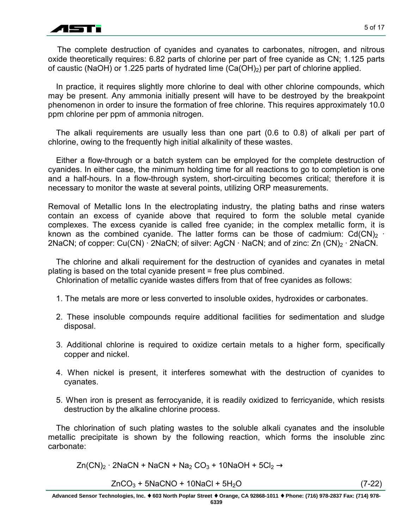

The complete destruction of cyanides and cyanates to carbonates, nitrogen, and nitrous oxide theoretically requires: 6.82 parts of chlorine per part of free cyanide as CN; 1.125 parts of caustic (NaOH) or 1.225 parts of hydrated lime  $(Ca(OH)_2)$  per part of chlorine applied.

In practice, it requires slightly more chlorine to deal with other chlorine compounds, which may be present. Any ammonia initially present will have to be destroyed by the breakpoint phenomenon in order to insure the formation of free chlorine. This requires approximately 10.0 ppm chlorine per ppm of ammonia nitrogen.

The alkali requirements are usually less than one part (0.6 to 0.8) of alkali per part of chlorine, owing to the frequently high initial alkalinity of these wastes.

Either a flow-through or a batch system can be employed for the complete destruction of cyanides. In either case, the minimum holding time for all reactions to go to completion is one and a half-hours. In a flow-through system, short-circuiting becomes critical; therefore it is necessary to monitor the waste at several points, utilizing ORP measurements.

Removal of Metallic Ions In the electroplating industry, the plating baths and rinse waters contain an excess of cyanide above that required to form the soluble metal cyanide complexes. The excess cyanide is called free cyanide; in the complex metallic form, it is known as the combined cyanide. The latter forms can be those of cadmium:  $Cd(CN)_2$  ∙ 2NaCN; of copper: Cu(CN) ⋅ 2NaCN; of silver: AgCN ⋅ NaCN; and of zinc: Zn (CN)<sub>2</sub> ⋅ 2NaCN.

The chlorine and alkali requirement for the destruction of cyanides and cyanates in metal plating is based on the total cyanide present = free plus combined.

Chlorination of metallic cyanide wastes differs from that of free cyanides as follows:

- 1. The metals are more or less converted to insoluble oxides, hydroxides or carbonates.
- 2. These insoluble compounds require additional facilities for sedimentation and sludge disposal.
- 3. Additional chlorine is required to oxidize certain metals to a higher form, specifically copper and nickel.
- 4. When nickel is present, it interferes somewhat with the destruction of cyanides to cyanates.
- 5. When iron is present as ferrocyanide, it is readily oxidized to ferricyanide, which resists destruction by the alkaline chlorine process.

The chlorination of such plating wastes to the soluble alkali cyanates and the insoluble metallic precipitate is shown by the following reaction, which forms the insoluble zinc carbonate:

 $Zn(CN)_2 \cdot 2NaCN + NaCN + Na_2 CO_3 + 10NaOH + 5Cl_2 \rightarrow$ 

$$
ZnCO3 + 5NaCNO + 10NaCl + 5H2O \t(7-22)
$$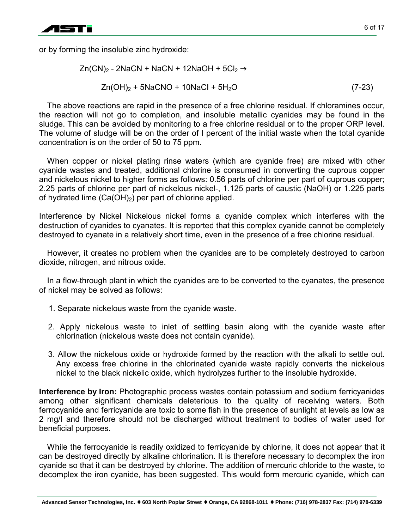

or by forming the insoluble zinc hydroxide:

$$
Zn(CN)2 - 2NaCN + NaCN + 12NaOH + 5Cl2 \rightarrow
$$
  

$$
Zn(OH)2 + 5NaCNO + 10NaCl + 5H2O
$$
 (7-23)

The above reactions are rapid in the presence of a free chlorine residual. If chloramines occur, the reaction will not go to completion, and insoluble metallic cyanides may be found in the sludge. This can be avoided by monitoring to a free chlorine residual or to the proper ORP level. The volume of sludge will be on the order of I percent of the initial waste when the total cyanide concentration is on the order of 50 to 75 ppm.

When copper or nickel plating rinse waters (which are cyanide free) are mixed with other cyanide wastes and treated, additional chlorine is consumed in converting the cuprous copper and nickelous nickel to higher forms as follows: 0.56 parts of chlorine per part of cuprous copper; 2.25 parts of chlorine per part of nickelous nickel-, 1.125 parts of caustic (NaOH) or 1.225 parts of hydrated lime  $(Ca(OH)_2)$  per part of chlorine applied.

Interference by Nickel Nickelous nickel forms a cyanide complex which interferes with the destruction of cyanides to cyanates. It is reported that this complex cyanide cannot be completely destroyed to cyanate in a relatively short time, even in the presence of a free chlorine residual.

However, it creates no problem when the cyanides are to be completely destroyed to carbon dioxide, nitrogen, and nitrous oxide.

In a flow-through plant in which the cyanides are to be converted to the cyanates, the presence of nickel may be solved as follows:

- 1. Separate nickelous waste from the cyanide waste.
- 2. Apply nickelous waste to inlet of settling basin along with the cyanide waste after chlorination (nickelous waste does not contain cyanide).
- 3. Allow the nickelous oxide or hydroxide formed by the reaction with the alkali to settle out. Any excess free chlorine in the chlorinated cyanide waste rapidly converts the nickelous nickel to the black nickelic oxide, which hydrolyzes further to the insoluble hydroxide.

**Interference by Iron:** Photographic process wastes contain potassium and sodium ferricyanides among other significant chemicals deleterious to the quality of receiving waters. Both ferrocyanide and ferricyanide are toxic to some fish in the presence of sunlight at levels as low as 2 mg/I and therefore should not be discharged without treatment to bodies of water used for beneficial purposes.

While the ferrocyanide is readily oxidized to ferricyanide by chlorine, it does not appear that it can be destroyed directly by alkaline chlorination. It is therefore necessary to decomplex the iron cyanide so that it can be destroyed by chlorine. The addition of mercuric chloride to the waste, to decomplex the iron cyanide, has been suggested. This would form mercuric cyanide, which can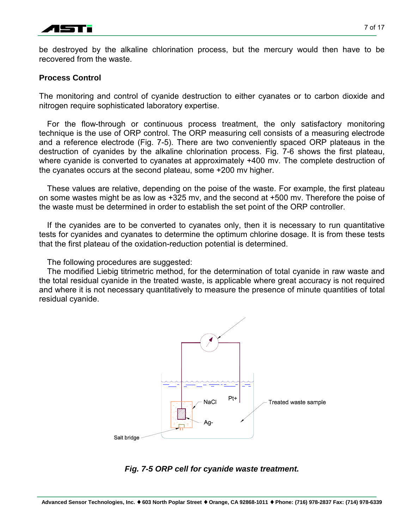

be destroyed by the alkaline chlorination process, but the mercury would then have to be recovered from the waste.

## **Process Control**

The monitoring and control of cyanide destruction to either cyanates or to carbon dioxide and nitrogen require sophisticated laboratory expertise.

For the flow-through or continuous process treatment, the only satisfactory monitoring technique is the use of ORP control. The ORP measuring cell consists of a measuring electrode and a reference electrode (Fig. 7-5). There are two conveniently spaced ORP plateaus in the destruction of cyanides by the alkaline chlorination process. Fig. 7-6 shows the first plateau, where cyanide is converted to cyanates at approximately +400 mv. The complete destruction of the cyanates occurs at the second plateau, some +200 mv higher.

These values are relative, depending on the poise of the waste. For example, the first plateau on some wastes might be as low as +325 mv, and the second at +500 mv. Therefore the poise of the waste must be determined in order to establish the set point of the ORP controller.

If the cyanides are to be converted to cyanates only, then it is necessary to run quantitative tests for cyanides and cyanates to determine the optimum chlorine dosage. It is from these tests that the first plateau of the oxidation-reduction potential is determined.

The following procedures are suggested:

The modified Liebig titrimetric method, for the determination of total cyanide in raw waste and the total residual cyanide in the treated waste, is applicable where great accuracy is not required and where it is not necessary quantitatively to measure the presence of minute quantities of total residual cyanide.



# *Fig. 7-5 ORP cell for cyanide waste treatment.*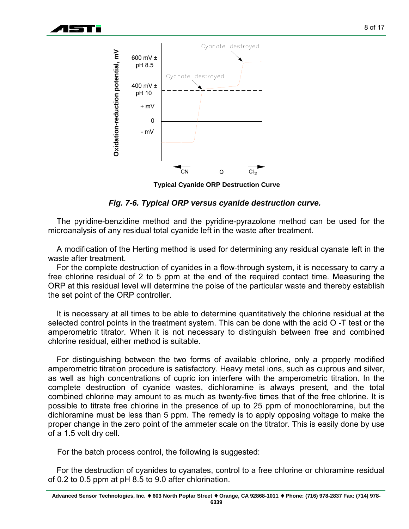



**Typical Cyanide ORP Destruction Curve**

### *Fig. 7-6. Typical ORP versus cyanide destruction curve.*

The pyridine-benzidine method and the pyridine-pyrazolone method can be used for the microanalysis of any residual total cyanide left in the waste after treatment.

A modification of the Herting method is used for determining any residual cyanate left in the waste after treatment.

For the complete destruction of cyanides in a flow-through system, it is necessary to carry a free chlorine residual of 2 to 5 ppm at the end of the required contact time. Measuring the ORP at this residual level will determine the poise of the particular waste and thereby establish the set point of the ORP controller.

It is necessary at all times to be able to determine quantitatively the chlorine residual at the selected control points in the treatment system. This can be done with the acid O -T test or the amperometric titrator. When it is not necessary to distinguish between free and combined chlorine residual, either method is suitable.

For distinguishing between the two forms of available chlorine, only a properly modified amperometric titration procedure is satisfactory. Heavy metal ions, such as cuprous and silver, as well as high concentrations of cupric ion interfere with the amperometric titration. In the complete destruction of cyanide wastes, dichloramine is always present, and the total combined chlorine may amount to as much as twenty-five times that of the free chlorine. It is possible to titrate free chlorine in the presence of up to 25 ppm of monochloramine, but the dichloramine must be less than 5 ppm. The remedy is to apply opposing voltage to make the proper change in the zero point of the ammeter scale on the titrator. This is easily done by use of a 1.5 volt dry cell.

For the batch process control, the following is suggested:

For the destruction of cyanides to cyanates, control to a free chlorine or chloramine residual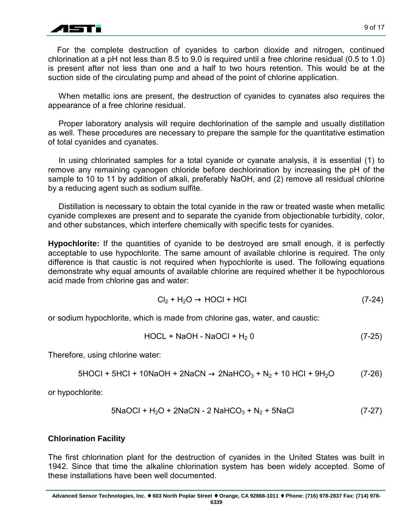

For the complete destruction of cyanides to carbon dioxide and nitrogen, continued chlorination at a pH not less than 8.5 to 9.0 is required until a free chlorine residual (0.5 to 1.0) is present after not less than one and a half to two hours retention. This would be at the suction side of the circulating pump and ahead of the point of chlorine application.

When metallic ions are present, the destruction of cyanides to cyanates also requires the appearance of a free chlorine residual.

Proper laboratory analysis will require dechlorination of the sample and usually distillation as well. These procedures are necessary to prepare the sample for the quantitative estimation of total cyanides and cyanates.

In using chlorinated samples for a total cyanide or cyanate analysis, it is essential (1) to remove any remaining cyanogen chloride before dechlorination by increasing the pH of the sample to 10 to 11 by addition of alkali, preferably NaOH, and (2) remove all residual chlorine by a reducing agent such as sodium sulfite.

Distillation is necessary to obtain the total cyanide in the raw or treated waste when metallic cyanide complexes are present and to separate the cyanide from objectionable turbidity, color, and other substances, which interfere chemically with specific tests for cyanides.

**Hypochlorite:** If the quantities of cyanide to be destroyed are small enough, it is perfectly acceptable to use hypochlorite. The same amount of available chlorine is required. The only difference is that caustic is not required when hypochlorite is used. The following equations demonstrate why equal amounts of available chlorine are required whether it be hypochlorous acid made from chlorine gas and water:

$$
Cl_2 + H_2O \rightarrow HOCl + HCl
$$
 (7-24)

or sodium hypochlorite, which is made from chlorine gas, water, and caustic:

$$
HOCL + NaOH - NaOCl + H2 0
$$
 (7-25)

Therefore, using chlorine water:

5HOCI + 5HCI + 10NaOH + 2NaCN → 2NaHCO3 + N2 + 10 HCI + 9H2O (7-26)

or hypochlorite:

$$
5NaOCl + H2O + 2NaCN - 2 NaHCO3 + N2 + 5NaCl
$$
 (7-27)

# **Chlorination Facility**

The first chlorination plant for the destruction of cyanides in the United States was built in 1942. Since that time the alkaline chlorination system has been widely accepted. Some of these installations have been well documented.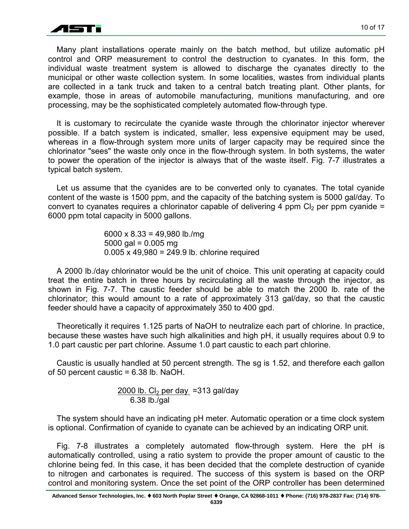

Many plant installations operate mainly on the batch method, but utilize automatic pH control and ORP measurement to control the destruction to cyanates. In this form, the individual waste treatment system is allowed to discharge the cyanates directly to the municipal or other waste collection system. In some localities, wastes from individual plants are collected in a tank truck and taken to a central batch treating plant. Other plants, for example, those in areas of automobile manufacturing, munitions manufacturing, and ore processing, may be the sophisticated completely automated flow-through type.

It is customary to recirculate the cyanide waste through the chlorinator injector wherever possible. If a batch system is indicated, smaller, less expensive equipment may be used, whereas in a flow-through system more units of larger capacity may be required since the chlorinator "sees" the waste only once in the flow-through system. In both systems, the water to power the operation of the injector is always that of the waste itself. Fig. 7-7 illustrates a typical batch system.

Let us assume that the cyanides are to be converted only to cyanates. The total cyanide content of the waste is 1500 ppm, and the capacity of the batching system is 5000 gal/day. To convert to cyanates requires a chlorinator capable of delivering 4 ppm  $Cl<sub>2</sub>$  per ppm cyanide = 6000 ppm total capacity in 5000 gallons.

> 6000 x 8.33 = 49,980 lb./mg 5000 gal =  $0.005$  mg 0.005 x 49,980 = 249.9 lb. chlorine required

A 2000 lb./day chlorinator would be the unit of choice. This unit operating at capacity could treat the entire batch in three hours by recirculating all the waste through the injector, as shown in Fig. 7-7. The caustic feeder should be able to match the 2000 lb. rate of the chlorinator; this would amount to a rate of approximately 313 gal/day, so that the caustic feeder should have a capacity of approximately 350 to 400 gpd.

Theoretically it requires 1.125 parts of NaOH to neutralize each part of chlorine. In practice, because these wastes have such high alkalinities and high pH, it usually requires about 0.9 to 1.0 part caustic per part chlorine. Assume 1.0 part caustic to each part chlorine.

Caustic is usually handled at 50 percent strength. The sg is 1.52, and therefore each gallon of 50 percent caustic = 6.38 lb. NaOH.

> $2000$  lb. Cl<sub>2</sub> per day =313 gal/day 6.38 lb./gal

The system should have an indicating pH meter. Automatic operation or a time clock system is optional. Confirmation of cyanide to cyanate can be achieved by an indicating ORP unit.

Fig. 7-8 illustrates a completely automated flow-through system. Here the pH is automatically controlled, using a ratio system to provide the proper amount of caustic to the chlorine being fed. In this case, it has been decided that the complete destruction of cyanide to nitrogen and carbonates is required. The success of this system is based on the ORP control and monitoring system. Once the set point of the ORP controller has been determined

**6339**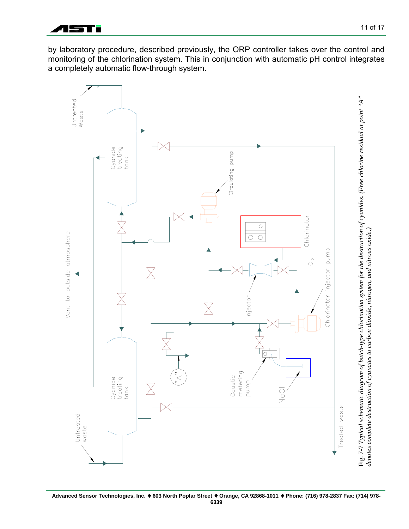

by laboratory procedure, described previously, the ORP controller takes over the control and monitoring of the chlorination system. This in conjunction with automatic pH control integrates a completely automatic flow-through system.

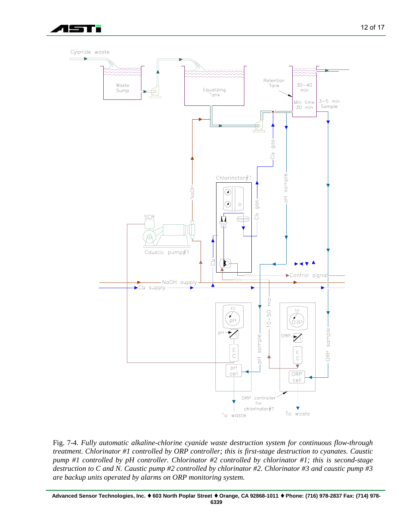



Fig. 7-4. *Fully automatic alkaline-chlorine cyanide waste destruction system for continuous flow-through treatment. Chlorinator #1 controlled by ORP controller; this is first-stage destruction to cyanates. Caustic pump #1 controlled by pH controller. Chlorinator #2 controlled by chlorinator #1; this is second-stage destruction to C and N. Caustic pump #2 controlled by chlorinator #2. Chlorinator #3 and caustic pump #3 are backup units operated by alarms on ORP monitoring system.*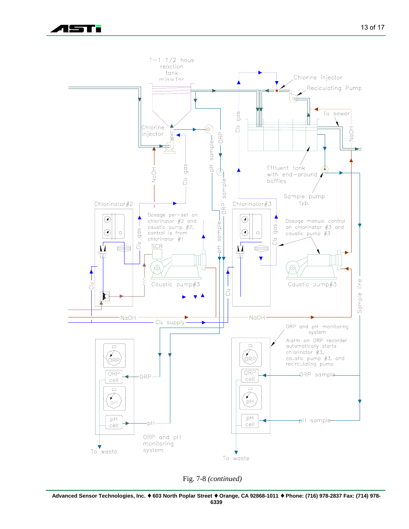<u>lsan</u>



Fig. 7-8 *(continued)*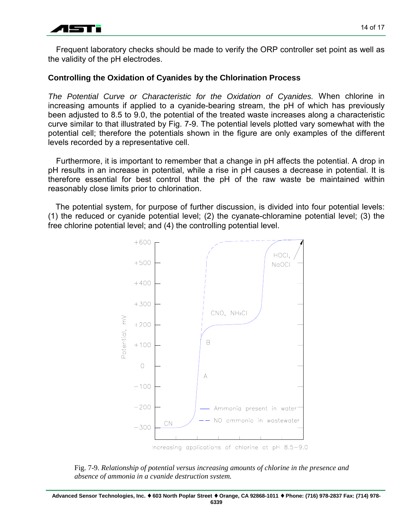

Frequent laboratory checks should be made to verify the ORP controller set point as well as the validity of the pH electrodes.

## **Controlling the Oxidation of Cyanides by the Chlorination Process**

*The Potential Curve or Characteristic for the Oxidation of Cyanides.* When chlorine in increasing amounts if applied to a cyanide-bearing stream, the pH of which has previously been adjusted to 8.5 to 9.0, the potential of the treated waste increases along a characteristic curve similar to that illustrated by Fig. 7-9. The potential levels plotted vary somewhat with the potential cell; therefore the potentials shown in the figure are only examples of the different levels recorded by a representative cell.

Furthermore, it is important to remember that a change in pH affects the potential. A drop in pH results in an increase in potential, while a rise in pH causes a decrease in potential. It is therefore essential for best control that the pH of the raw waste be maintained within reasonably close limits prior to chlorination.

The potential system, for purpose of further discussion, is divided into four potential levels: (1) the reduced or cyanide potential level; (2) the cyanate-chloramine potential level; (3) the free chlorine potential level; and (4) the controlling potential level.



Fig. 7-9. *Relationship of potential versus increasing amounts of chlorine in the presence and absence of ammonia in a cyanide destruction system.*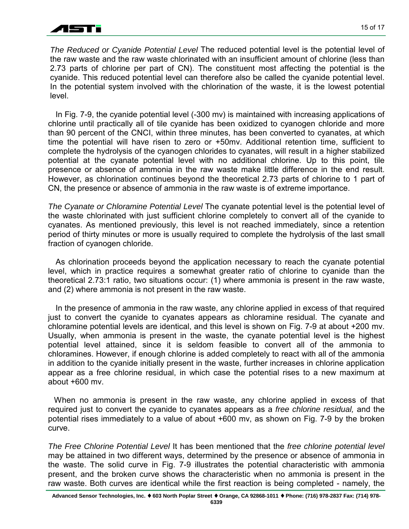

*The Reduced or Cyanide Potential Level* The reduced potential level is the potential level of the raw waste and the raw waste chlorinated with an insufficient amount of chlorine (less than 2.73 parts of chlorine per part of CN). The constituent most affecting the potential is the cyanide. This reduced potential level can therefore also be called the cyanide potential level. In the potential system involved with the chlorination of the waste, it is the lowest potential level.

In Fig. 7-9, the cyanide potential level (-300 mv) is maintained with increasing applications of chlorine until practically all of tile cyanide has been oxidized to cyanogen chloride and more than 90 percent of the CNCI, within three minutes, has been converted to cyanates, at which time the potential will have risen to zero or +50mv. Additional retention time, sufficient to complete the hydrolysis of the cyanogen chlorides to cyanates, will result in a higher stabilized potential at the cyanate potential level with no additional chlorine. Up to this point, tile presence or absence of ammonia in the raw waste make little difference in the end result. However, as chlorination continues beyond the theoretical 2.73 parts of chlorine to 1 part of CN, the presence or absence of ammonia in the raw waste is of extreme importance.

*The Cyanate or Chloramine Potential Level* The cyanate potential level is the potential level of the waste chlorinated with just sufficient chlorine completely to convert all of the cyanide to cyanates. As mentioned previously, this level is not reached immediately, since a retention period of thirty minutes or more is usually required to complete the hydrolysis of the last small fraction of cyanogen chloride.

As chlorination proceeds beyond the application necessary to reach the cyanate potential level, which in practice requires a somewhat greater ratio of chlorine to cyanide than the theoretical 2.73:1 ratio, two situations occur: (1) where ammonia is present in the raw waste, and (2) where ammonia is not present in the raw waste.

In the presence of ammonia in the raw waste, any chlorine applied in excess of that required just to convert the cyanide to cyanates appears as chloramine residual. The cyanate and chloramine potential levels are identical, and this level is shown on Fig. 7-9 at about +200 mv. Usually, when ammonia is present in the waste, the cyanate potential level is the highest potential level attained, since it is seldom feasible to convert all of the ammonia to chloramines. However, if enough chlorine is added completely to react with all of the ammonia in addition to the cyanide initially present in the waste, further increases in chlorine application appear as a free chlorine residual, in which case the potential rises to a new maximum at about +600 mv.

When no ammonia is present in the raw waste, any chlorine applied in excess of that required just to convert the cyanide to cyanates appears as a *free chlorine residual,* and the potential rises immediately to a value of about +600 mv, as shown on Fig. 7-9 by the broken curve.

*The Free Chlorine Potential Level* It has been mentioned that the *free chlorine potential level* may be attained in two different ways, determined by the presence or absence of ammonia in the waste. The solid curve in Fig. 7-9 illustrates the potential characteristic with ammonia present, and the broken curve shows the characteristic when no ammonia is present in the raw waste. Both curves are identical while the first reaction is being completed - namely, the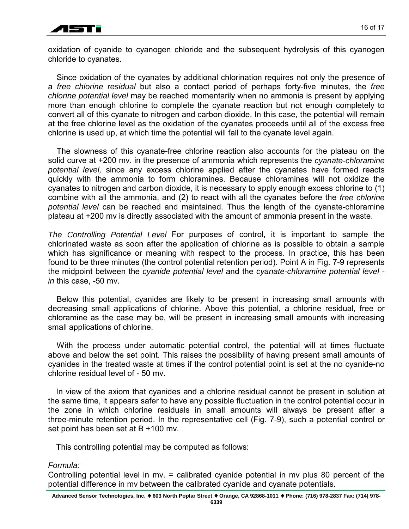

oxidation of cyanide to cyanogen chloride and the subsequent hydrolysis of this cyanogen chloride to cyanates.

Since oxidation of the cyanates by additional chlorination requires not only the presence of a *free chlorine residual* but also a contact period of perhaps forty-five minutes, the *free chlorine potential level* may be reached momentarily when no ammonia is present by applying more than enough chlorine to complete the cyanate reaction but not enough completely to convert all of this cyanate to nitrogen and carbon dioxide. In this case, the potential will remain at the free chlorine level as the oxidation of the cyanates proceeds until all of the excess free chlorine is used up, at which time the potential will fall to the cyanate level again.

The slowness of this cyanate-free chlorine reaction also accounts for the plateau on the solid curve at +200 mv. in the presence of ammonia which represents the *cyanate-chloramine potential level,* since any excess chlorine applied after the cyanates have formed reacts quickly with the ammonia to form chloramines. Because chloramines will not oxidize the cyanates to nitrogen and carbon dioxide, it is necessary to apply enough excess chlorine to (1) combine with all the ammonia, and (2) to react with all the cyanates before the *free chlorine potential level* can be reached and maintained. Thus the length of the cyanate-chloramine plateau at +200 mv is directly associated with the amount of ammonia present in the waste.

*The Controlling Potential Level* For purposes of control, it is important to sample the chlorinated waste as soon after the application of chlorine as is possible to obtain a sample which has significance or meaning with respect to the process. In practice, this has been found to be three minutes (the control potential retention period). Point A in Fig. 7-9 represents the midpoint between the *cyanide potential level* and the *cyanate-chloramine potential level in* this case, -50 mv.

Below this potential, cyanides are likely to be present in increasing small amounts with decreasing small applications of chlorine. Above this potential, a chlorine residual, free or chloramine as the case may be, will be present in increasing small amounts with increasing small applications of chlorine.

With the process under automatic potential control, the potential will at times fluctuate above and below the set point. This raises the possibility of having present small amounts of cyanides in the treated waste at times if the control potential point is set at the no cyanide-no chlorine residual level of - 50 mv.

In view of the axiom that cyanides and a chlorine residual cannot be present in solution at the same time, it appears safer to have any possible fluctuation in the control potential occur in the zone in which chlorine residuals in small amounts will always be present after a three-minute retention period. In the representative cell (Fig. 7-9), such a potential control or set point has been set at B +100 mv.

This controlling potential may be computed as follows:

# *Formula:*

Controlling potential level in mv. = calibrated cyanide potential in mv plus 80 percent of the potential difference in mv between the calibrated cyanide and cyanate potentials.